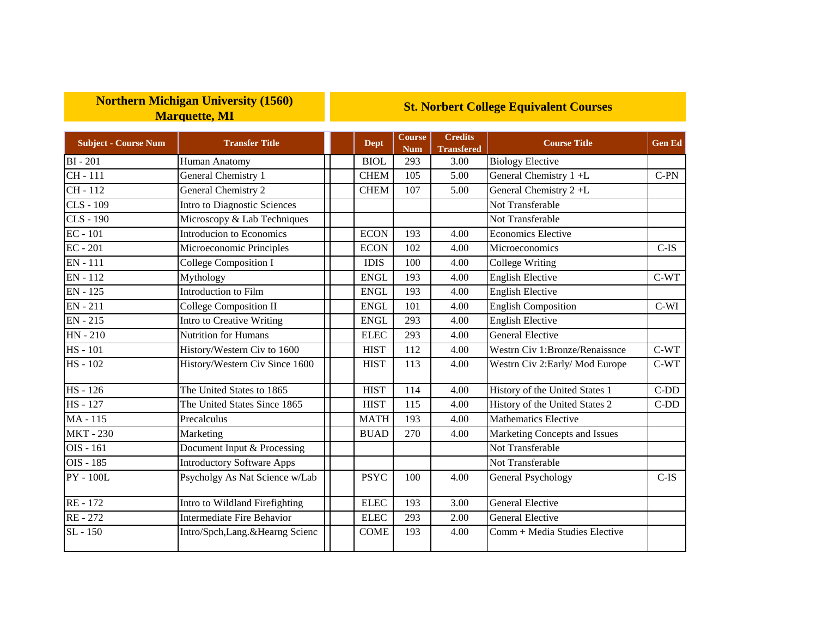## **Northern Michigan University (1560) Marquette, MI**

## **St. Norbert College Equivalent Courses**

| <b>Subject - Course Num</b> | <b>Transfer Title</b>             | <b>Dept</b> | <b>Course</b><br><b>Num</b> | <b>Credits</b><br><b>Transfered</b> | <b>Course Title</b>            | <b>Gen Ed</b> |
|-----------------------------|-----------------------------------|-------------|-----------------------------|-------------------------------------|--------------------------------|---------------|
| <b>BI-201</b>               | Human Anatomy                     | <b>BIOL</b> | 293                         | 3.00                                | <b>Biology Elective</b>        |               |
| CH-111                      | General Chemistry 1               | <b>CHEM</b> | 105                         | 5.00                                | General Chemistry 1 +L         | $C-PN$        |
| $CH - 112$                  | General Chemistry 2               | <b>CHEM</b> | 107                         | 5.00                                | General Chemistry 2+L          |               |
| <b>CLS - 109</b>            | Intro to Diagnostic Sciences      |             |                             |                                     | Not Transferable               |               |
| <b>CLS - 190</b>            | Microscopy & Lab Techniques       |             |                             |                                     | Not Transferable               |               |
| $EC - 101$                  | Introducion to Economics          | <b>ECON</b> | 193                         | 4.00                                | <b>Economics Elective</b>      |               |
| $EC - 201$                  | Microeconomic Principles          | <b>ECON</b> | 102                         | 4.00                                | Microeconomics                 | $C$ -IS       |
| EN - 111                    | College Composition I             | <b>IDIS</b> | 100                         | 4.00                                | College Writing                |               |
| $\overline{EN}$ - 112       | Mythology                         | <b>ENGL</b> | 193                         | 4.00                                | <b>English Elective</b>        | $C-WT$        |
| $EN - 125$                  | Introduction to Film              | <b>ENGL</b> | 193                         | 4.00                                | <b>English Elective</b>        |               |
| EN - 211                    | <b>College Composition II</b>     | <b>ENGL</b> | 101                         | 4.00                                | <b>English Composition</b>     | $C-WI$        |
| <b>EN-215</b>               | <b>Intro to Creative Writing</b>  | <b>ENGL</b> | 293                         | 4.00                                | <b>English Elective</b>        |               |
| $HN - 210$                  | <b>Nutrition for Humans</b>       | <b>ELEC</b> | 293                         | 4.00                                | <b>General Elective</b>        |               |
| <b>HS</b> - 101             | History/Western Civ to 1600       | <b>HIST</b> | 112                         | 4.00                                | Westrn Civ 1:Bronze/Renaissnce | $C-WT$        |
| HS - 102                    | History/Western Civ Since 1600    | <b>HIST</b> | 113                         | 4.00                                | Westrn Civ 2: Early/Mod Europe | $C-WT$        |
| HS-126                      | The United States to 1865         | <b>HIST</b> | 114                         | 4.00                                | History of the United States 1 | $C-DD$        |
| <b>HS</b> - 127             | The United States Since 1865      | <b>HIST</b> | 115                         | 4.00                                | History of the United States 2 | $C-DD$        |
| MA-115                      | Precalculus                       | <b>MATH</b> | 193                         | 4.00                                | <b>Mathematics Elective</b>    |               |
| <b>MKT-230</b>              | Marketing                         | <b>BUAD</b> | 270                         | 4.00                                | Marketing Concepts and Issues  |               |
| OIS - 161                   | Document Input & Processing       |             |                             |                                     | Not Transferable               |               |
| OIS - 185                   | <b>Introductory Software Apps</b> |             |                             |                                     | Not Transferable               |               |
| <b>PY - 100L</b>            | Psycholgy As Nat Science w/Lab    | <b>PSYC</b> | 100                         | 4.00                                | <b>General Psychology</b>      | $C$ -IS       |
| RE-172                      | Intro to Wildland Firefighting    | <b>ELEC</b> | 193                         | 3.00                                | <b>General Elective</b>        |               |
| RE-272                      | <b>Intermediate Fire Behavior</b> | <b>ELEC</b> | 293                         | 2.00                                | <b>General Elective</b>        |               |
| SL - 150                    | Intro/Spch,Lang.&Hearng Scienc    | <b>COME</b> | 193                         | 4.00                                | Comm + Media Studies Elective  |               |